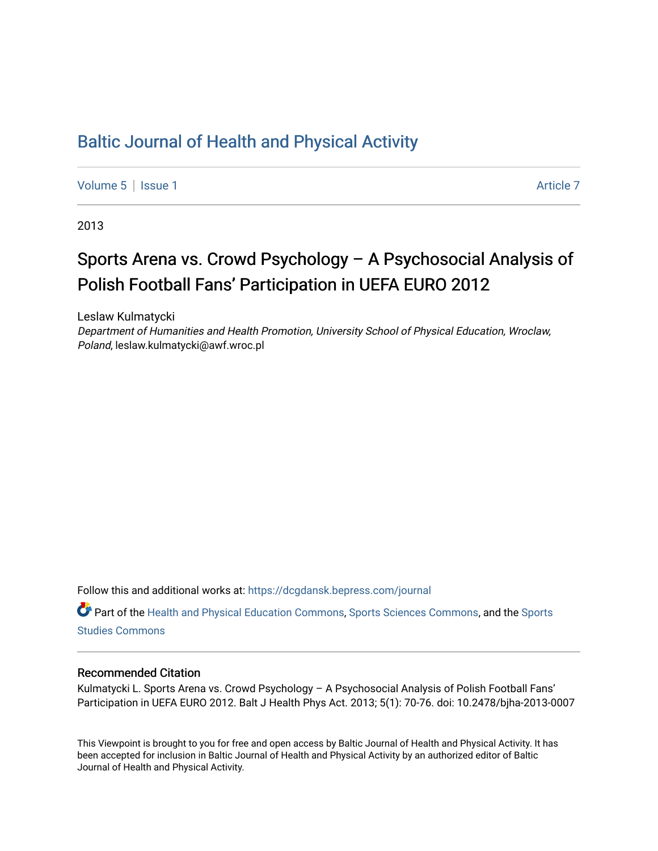## [Baltic Journal of Health and Physical Activity](https://dcgdansk.bepress.com/journal)

[Volume 5](https://dcgdansk.bepress.com/journal/vol5) | [Issue 1](https://dcgdansk.bepress.com/journal/vol5/iss1) Article 7

2013

# Sports Arena vs. Crowd Psychology – A Psychosocial Analysis of Polish Football Fans' Participation in UEFA EURO 2012

Leslaw Kulmatycki

Department of Humanities and Health Promotion, University School of Physical Education, Wroclaw, Poland, leslaw.kulmatycki@awf.wroc.pl

Follow this and additional works at: [https://dcgdansk.bepress.com/journal](https://dcgdansk.bepress.com/journal?utm_source=dcgdansk.bepress.com%2Fjournal%2Fvol5%2Fiss1%2F7&utm_medium=PDF&utm_campaign=PDFCoverPages)

Part of the [Health and Physical Education Commons](http://network.bepress.com/hgg/discipline/1327?utm_source=dcgdansk.bepress.com%2Fjournal%2Fvol5%2Fiss1%2F7&utm_medium=PDF&utm_campaign=PDFCoverPages), [Sports Sciences Commons](http://network.bepress.com/hgg/discipline/759?utm_source=dcgdansk.bepress.com%2Fjournal%2Fvol5%2Fiss1%2F7&utm_medium=PDF&utm_campaign=PDFCoverPages), and the [Sports](http://network.bepress.com/hgg/discipline/1198?utm_source=dcgdansk.bepress.com%2Fjournal%2Fvol5%2Fiss1%2F7&utm_medium=PDF&utm_campaign=PDFCoverPages)  [Studies Commons](http://network.bepress.com/hgg/discipline/1198?utm_source=dcgdansk.bepress.com%2Fjournal%2Fvol5%2Fiss1%2F7&utm_medium=PDF&utm_campaign=PDFCoverPages) 

#### Recommended Citation

Kulmatycki L. Sports Arena vs. Crowd Psychology – A Psychosocial Analysis of Polish Football Fans' Participation in UEFA EURO 2012. Balt J Health Phys Act. 2013; 5(1): 70-76. doi: 10.2478/bjha-2013-0007

This Viewpoint is brought to you for free and open access by Baltic Journal of Health and Physical Activity. It has been accepted for inclusion in Baltic Journal of Health and Physical Activity by an authorized editor of Baltic Journal of Health and Physical Activity.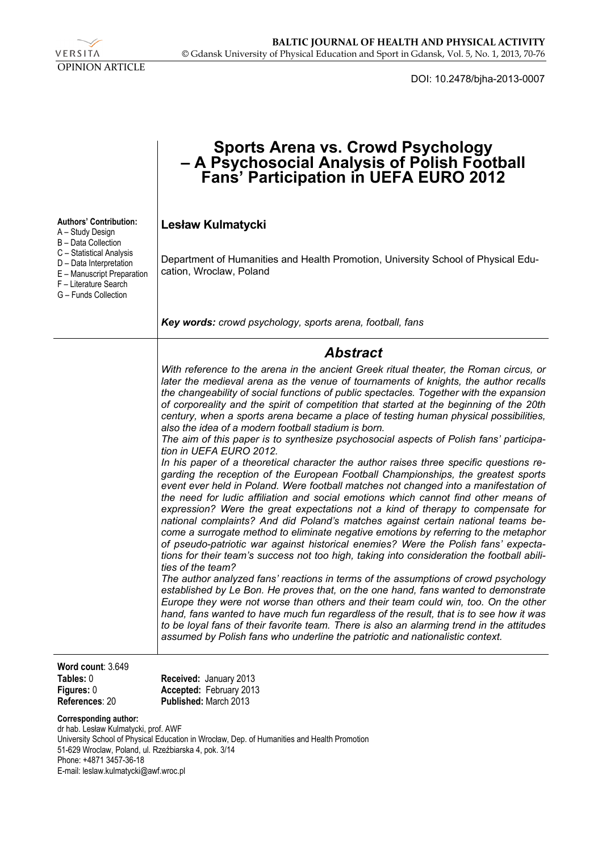

DOI: 10.2478/bjha-2013-0007

|                                                                                                                                    | <b>Sports Arena vs. Crowd Psychology</b><br>– A Psychosocial Analysis of Polish Football<br>Fans' Participation in UEFA EURO 2012                                                                                                                                                                                                                                                                                                                                                                                                                                                                                                                                                                                                                                                                                                                                                                                                                                                                                                                                                                                                                                                                                                                                                                                                                                                                                                                                                                                                                                                                                                                                                                                                                                                                                                                                                                                                                                                                                      |
|------------------------------------------------------------------------------------------------------------------------------------|------------------------------------------------------------------------------------------------------------------------------------------------------------------------------------------------------------------------------------------------------------------------------------------------------------------------------------------------------------------------------------------------------------------------------------------------------------------------------------------------------------------------------------------------------------------------------------------------------------------------------------------------------------------------------------------------------------------------------------------------------------------------------------------------------------------------------------------------------------------------------------------------------------------------------------------------------------------------------------------------------------------------------------------------------------------------------------------------------------------------------------------------------------------------------------------------------------------------------------------------------------------------------------------------------------------------------------------------------------------------------------------------------------------------------------------------------------------------------------------------------------------------------------------------------------------------------------------------------------------------------------------------------------------------------------------------------------------------------------------------------------------------------------------------------------------------------------------------------------------------------------------------------------------------------------------------------------------------------------------------------------------------|
| <b>Authors' Contribution:</b><br>A – Study Design<br><b>B</b> - Data Collection                                                    | Lesław Kulmatycki                                                                                                                                                                                                                                                                                                                                                                                                                                                                                                                                                                                                                                                                                                                                                                                                                                                                                                                                                                                                                                                                                                                                                                                                                                                                                                                                                                                                                                                                                                                                                                                                                                                                                                                                                                                                                                                                                                                                                                                                      |
| C - Statistical Analysis<br>D - Data Interpretation<br>E - Manuscript Preparation<br>F - Literature Search<br>G - Funds Collection | Department of Humanities and Health Promotion, University School of Physical Edu-<br>cation, Wroclaw, Poland                                                                                                                                                                                                                                                                                                                                                                                                                                                                                                                                                                                                                                                                                                                                                                                                                                                                                                                                                                                                                                                                                                                                                                                                                                                                                                                                                                                                                                                                                                                                                                                                                                                                                                                                                                                                                                                                                                           |
|                                                                                                                                    | Key words: crowd psychology, sports arena, football, fans                                                                                                                                                                                                                                                                                                                                                                                                                                                                                                                                                                                                                                                                                                                                                                                                                                                                                                                                                                                                                                                                                                                                                                                                                                                                                                                                                                                                                                                                                                                                                                                                                                                                                                                                                                                                                                                                                                                                                              |
|                                                                                                                                    | <b>Abstract</b>                                                                                                                                                                                                                                                                                                                                                                                                                                                                                                                                                                                                                                                                                                                                                                                                                                                                                                                                                                                                                                                                                                                                                                                                                                                                                                                                                                                                                                                                                                                                                                                                                                                                                                                                                                                                                                                                                                                                                                                                        |
|                                                                                                                                    | With reference to the arena in the ancient Greek ritual theater, the Roman circus, or<br>later the medieval arena as the venue of tournaments of knights, the author recalls<br>the changeability of social functions of public spectacles. Together with the expansion<br>of corporeality and the spirit of competition that started at the beginning of the 20th<br>century, when a sports arena became a place of testing human physical possibilities,<br>also the idea of a modern football stadium is born.<br>The aim of this paper is to synthesize psychosocial aspects of Polish fans' participa-<br>tion in UEFA EURO 2012.<br>In his paper of a theoretical character the author raises three specific questions re-<br>garding the reception of the European Football Championships, the greatest sports<br>event ever held in Poland. Were football matches not changed into a manifestation of<br>the need for ludic affiliation and social emotions which cannot find other means of<br>expression? Were the great expectations not a kind of therapy to compensate for<br>national complaints? And did Poland's matches against certain national teams be-<br>come a surrogate method to eliminate negative emotions by referring to the metaphor<br>of pseudo-patriotic war against historical enemies? Were the Polish fans' expecta-<br>tions for their team's success not too high, taking into consideration the football abili-<br>ties of the team?<br>The author analyzed fans' reactions in terms of the assumptions of crowd psychology<br>established by Le Bon. He proves that, on the one hand, fans wanted to demonstrate<br>Europe they were not worse than others and their team could win, too. On the other<br>hand, fans wanted to have much fun regardless of the result, that is to see how it was<br>to be loyal fans of their favorite team. There is also an alarming trend in the attitudes<br>assumed by Polish fans who underline the patriotic and nationalistic context. |
| Word count: 3.649                                                                                                                  |                                                                                                                                                                                                                                                                                                                                                                                                                                                                                                                                                                                                                                                                                                                                                                                                                                                                                                                                                                                                                                                                                                                                                                                                                                                                                                                                                                                                                                                                                                                                                                                                                                                                                                                                                                                                                                                                                                                                                                                                                        |
| Tables: 0                                                                                                                          | Received: January 2013                                                                                                                                                                                                                                                                                                                                                                                                                                                                                                                                                                                                                                                                                                                                                                                                                                                                                                                                                                                                                                                                                                                                                                                                                                                                                                                                                                                                                                                                                                                                                                                                                                                                                                                                                                                                                                                                                                                                                                                                 |
| Figures: 0<br>References: 20                                                                                                       | Accepted: February 2013<br>Published: March 2013                                                                                                                                                                                                                                                                                                                                                                                                                                                                                                                                                                                                                                                                                                                                                                                                                                                                                                                                                                                                                                                                                                                                                                                                                                                                                                                                                                                                                                                                                                                                                                                                                                                                                                                                                                                                                                                                                                                                                                       |

**Corresponding author:** 

dr hab. Lesław Kulmatycki, prof. AWF University School of Physical Education in Wrocław, Dep. of Humanities and Health Promotion 51-629 Wroclaw, Poland, ul. Rzeźbiarska 4, pok. 3/14 Phone: +4871 3457-36-18 E-mail: leslaw.kulmatycki@awf.wroc.pl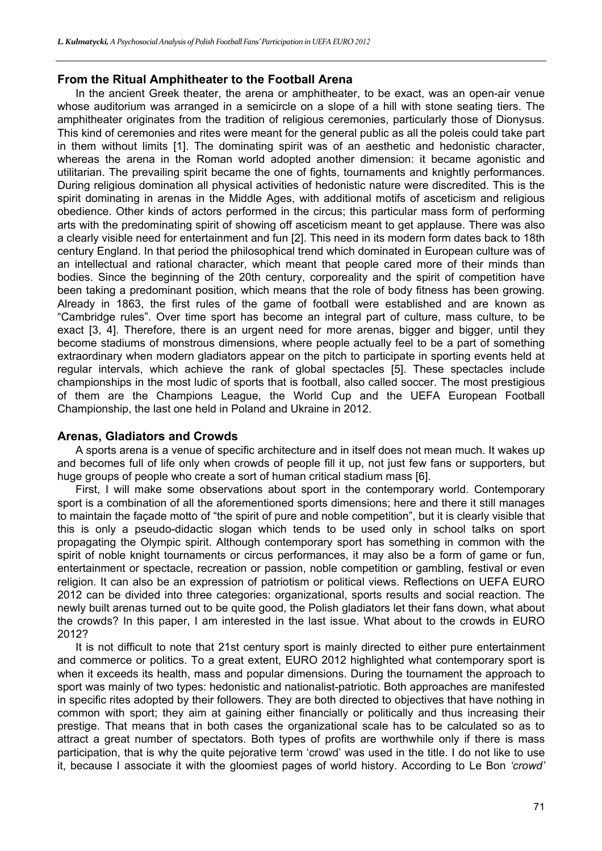#### **From the Ritual Amphitheater to the Football Arena**

In the ancient Greek theater, the arena or amphitheater, to be exact, was an open-air venue whose auditorium was arranged in a semicircle on a slope of a hill with stone seating tiers. The amphitheater originates from the tradition of religious ceremonies, particularly those of Dionysus. This kind of ceremonies and rites were meant for the general public as all the poleis could take part in them without limits [1]. The dominating spirit was of an aesthetic and hedonistic character, whereas the arena in the Roman world adopted another dimension: it became agonistic and utilitarian. The prevailing spirit became the one of fights, tournaments and knightly performances. During religious domination all physical activities of hedonistic nature were discredited. This is the spirit dominating in arenas in the Middle Ages, with additional motifs of asceticism and religious obedience. Other kinds of actors performed in the circus; this particular mass form of performing arts with the predominating spirit of showing off asceticism meant to get applause. There was also a clearly visible need for entertainment and fun [2]. This need in its modern form dates back to 18th century England. In that period the philosophical trend which dominated in European culture was of an intellectual and rational character, which meant that people cared more of their minds than bodies. Since the beginning of the 20th century, corporeality and the spirit of competition have been taking a predominant position, which means that the role of body fitness has been growing. Already in 1863, the first rules of the game of football were established and are known as "Cambridge rules". Over time sport has become an integral part of culture, mass culture, to be exact [3, 4]. Therefore, there is an urgent need for more arenas, bigger and bigger, until they become stadiums of monstrous dimensions, where people actually feel to be a part of something extraordinary when modern gladiators appear on the pitch to participate in sporting events held at regular intervals, which achieve the rank of global spectacles [5]. These spectacles include championships in the most ludic of sports that is football, also called soccer. The most prestigious of them are the Champions League, the World Cup and the UEFA European Football Championship, the last one held in Poland and Ukraine in 2012.

#### **Arenas, Gladiators and Crowds**

A sports arena is a venue of specific architecture and in itself does not mean much. It wakes up and becomes full of life only when crowds of people fill it up, not just few fans or supporters, but huge groups of people who create a sort of human critical stadium mass [6].

First, I will make some observations about sport in the contemporary world. Contemporary sport is a combination of all the aforementioned sports dimensions; here and there it still manages to maintain the façade motto of "the spirit of pure and noble competition", but it is clearly visible that this is only a pseudo-didactic slogan which tends to be used only in school talks on sport propagating the Olympic spirit. Although contemporary sport has something in common with the spirit of noble knight tournaments or circus performances, it may also be a form of game or fun, entertainment or spectacle, recreation or passion, noble competition or gambling, festival or even religion. It can also be an expression of patriotism or political views. Reflections on UEFA EURO 2012 can be divided into three categories: organizational, sports results and social reaction. The newly built arenas turned out to be quite good, the Polish gladiators let their fans down, what about the crowds? In this paper, I am interested in the last issue. What about to the crowds in EURO 2012?

It is not difficult to note that 21st century sport is mainly directed to either pure entertainment and commerce or politics. To a great extent, EURO 2012 highlighted what contemporary sport is when it exceeds its health, mass and popular dimensions. During the tournament the approach to sport was mainly of two types: hedonistic and nationalist-patriotic. Both approaches are manifested in specific rites adopted by their followers. They are both directed to objectives that have nothing in common with sport; they aim at gaining either financially or politically and thus increasing their prestige. That means that in both cases the organizational scale has to be calculated so as to attract a great number of spectators. Both types of profits are worthwhile only if there is mass participation, that is why the quite pejorative term 'crowd' was used in the title. I do not like to use it, because I associate it with the gloomiest pages of world history. According to Le Bon *'crowd'*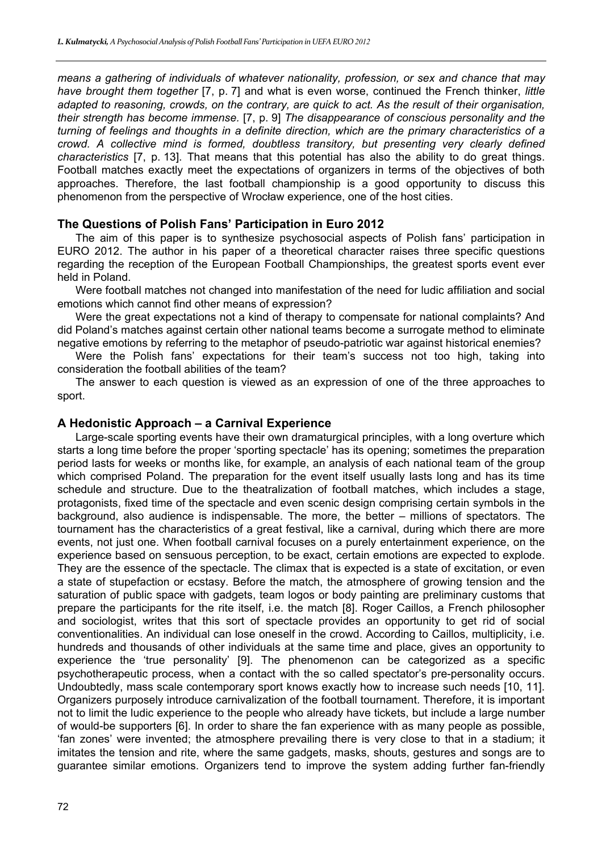*means a gathering of individuals of whatever nationality, profession, or sex and chance that may have brought them together* [7, p. 7] and what is even worse, continued the French thinker, *little adapted to reasoning, crowds, on the contrary, are quick to act. As the result of their organisation, their strength has become immense.* [7, p. 9] *The disappearance of conscious personality and the turning of feelings and thoughts in a definite direction, which are the primary characteristics of a crowd. A collective mind is formed, doubtless transitory, but presenting very clearly defined characteristics* [7, p. 13]. That means that this potential has also the ability to do great things. Football matches exactly meet the expectations of organizers in terms of the objectives of both approaches. Therefore, the last football championship is a good opportunity to discuss this phenomenon from the perspective of Wrocław experience, one of the host cities.

#### **The Questions of Polish Fans' Participation in Euro 2012**

The aim of this paper is to synthesize psychosocial aspects of Polish fans' participation in EURO 2012. The author in his paper of a theoretical character raises three specific questions regarding the reception of the European Football Championships, the greatest sports event ever held in Poland.

Were football matches not changed into manifestation of the need for ludic affiliation and social emotions which cannot find other means of expression?

Were the great expectations not a kind of therapy to compensate for national complaints? And did Poland's matches against certain other national teams become a surrogate method to eliminate negative emotions by referring to the metaphor of pseudo-patriotic war against historical enemies?

Were the Polish fans' expectations for their team's success not too high, taking into consideration the football abilities of the team?

The answer to each question is viewed as an expression of one of the three approaches to sport.

#### **A Hedonistic Approach – a Carnival Experience**

Large-scale sporting events have their own dramaturgical principles, with a long overture which starts a long time before the proper 'sporting spectacle' has its opening; sometimes the preparation period lasts for weeks or months like, for example, an analysis of each national team of the group which comprised Poland. The preparation for the event itself usually lasts long and has its time schedule and structure. Due to the theatralization of football matches, which includes a stage, protagonists, fixed time of the spectacle and even scenic design comprising certain symbols in the background, also audience is indispensable. The more, the better – millions of spectators. The tournament has the characteristics of a great festival, like a carnival, during which there are more events, not just one. When football carnival focuses on a purely entertainment experience, on the experience based on sensuous perception, to be exact, certain emotions are expected to explode. They are the essence of the spectacle. The climax that is expected is a state of excitation, or even a state of stupefaction or ecstasy. Before the match, the atmosphere of growing tension and the saturation of public space with gadgets, team logos or body painting are preliminary customs that prepare the participants for the rite itself, i.e. the match [8]. Roger Caillos, a French philosopher and sociologist, writes that this sort of spectacle provides an opportunity to get rid of social conventionalities. An individual can lose oneself in the crowd. According to Caillos, multiplicity, i.e. hundreds and thousands of other individuals at the same time and place, gives an opportunity to experience the 'true personality' [9]. The phenomenon can be categorized as a specific psychotherapeutic process, when a contact with the so called spectator's pre-personality occurs. Undoubtedly, mass scale contemporary sport knows exactly how to increase such needs [10, 11]. Organizers purposely introduce carnivalization of the football tournament. Therefore, it is important not to limit the ludic experience to the people who already have tickets, but include a large number of would-be supporters [6]. In order to share the fan experience with as many people as possible, 'fan zones' were invented; the atmosphere prevailing there is very close to that in a stadium; it imitates the tension and rite, where the same gadgets, masks, shouts, gestures and songs are to guarantee similar emotions. Organizers tend to improve the system adding further fan-friendly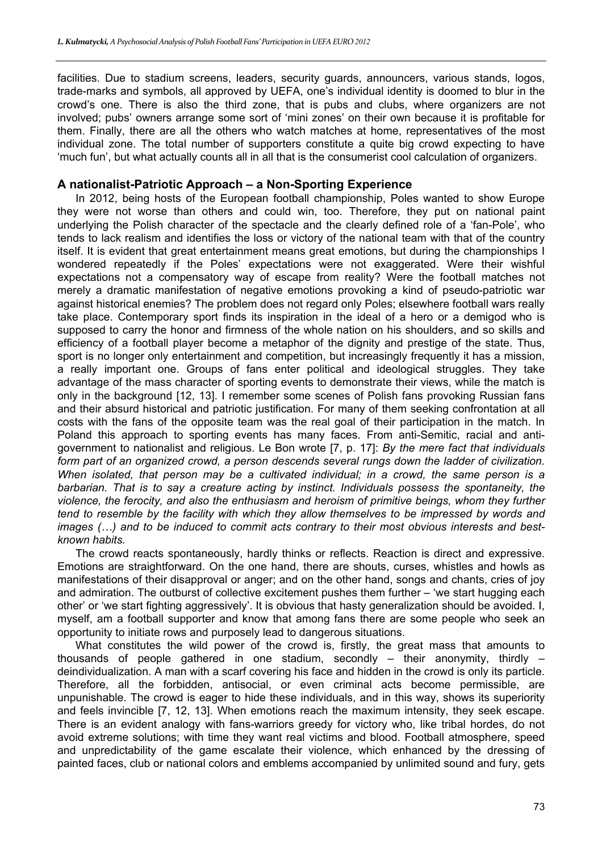facilities. Due to stadium screens, leaders, security guards, announcers, various stands, logos, trade-marks and symbols, all approved by UEFA, one's individual identity is doomed to blur in the crowd's one. There is also the third zone, that is pubs and clubs, where organizers are not involved; pubs' owners arrange some sort of 'mini zones' on their own because it is profitable for them. Finally, there are all the others who watch matches at home, representatives of the most individual zone. The total number of supporters constitute a quite big crowd expecting to have 'much fun', but what actually counts all in all that is the consumerist cool calculation of organizers.

### **A nationalist-Patriotic Approach – a Non-Sporting Experience**

In 2012, being hosts of the European football championship, Poles wanted to show Europe they were not worse than others and could win, too. Therefore, they put on national paint underlying the Polish character of the spectacle and the clearly defined role of a 'fan-Pole', who tends to lack realism and identifies the loss or victory of the national team with that of the country itself. It is evident that great entertainment means great emotions, but during the championships I wondered repeatedly if the Poles' expectations were not exaggerated. Were their wishful expectations not a compensatory way of escape from reality? Were the football matches not merely a dramatic manifestation of negative emotions provoking a kind of pseudo-patriotic war against historical enemies? The problem does not regard only Poles; elsewhere football wars really take place. Contemporary sport finds its inspiration in the ideal of a hero or a demigod who is supposed to carry the honor and firmness of the whole nation on his shoulders, and so skills and efficiency of a football player become a metaphor of the dignity and prestige of the state. Thus, sport is no longer only entertainment and competition, but increasingly frequently it has a mission, a really important one. Groups of fans enter political and ideological struggles. They take advantage of the mass character of sporting events to demonstrate their views, while the match is only in the background [12, 13]. I remember some scenes of Polish fans provoking Russian fans and their absurd historical and patriotic justification. For many of them seeking confrontation at all costs with the fans of the opposite team was the real goal of their participation in the match. In Poland this approach to sporting events has many faces. From anti-Semitic, racial and antigovernment to nationalist and religious. Le Bon wrote [7, p. 17]: *By the mere fact that individuals form part of an organized crowd, a person descends several rungs down the ladder of civilization. When isolated, that person may be a cultivated individual; in a crowd, the same person is a barbarian. That is to say a creature acting by instinct. Individuals possess the spontaneity, the violence, the ferocity, and also the enthusiasm and heroism of primitive beings, whom they further tend to resemble by the facility with which they allow themselves to be impressed by words and images (…) and to be induced to commit acts contrary to their most obvious interests and bestknown habits.* 

The crowd reacts spontaneously, hardly thinks or reflects. Reaction is direct and expressive. Emotions are straightforward. On the one hand, there are shouts, curses, whistles and howls as manifestations of their disapproval or anger; and on the other hand, songs and chants, cries of joy and admiration. The outburst of collective excitement pushes them further – 'we start hugging each other' or 'we start fighting aggressively'. It is obvious that hasty generalization should be avoided. I, myself, am a football supporter and know that among fans there are some people who seek an opportunity to initiate rows and purposely lead to dangerous situations.

What constitutes the wild power of the crowd is, firstly, the great mass that amounts to thousands of people gathered in one stadium, secondly – their anonymity, thirdly – deindividualization. A man with a scarf covering his face and hidden in the crowd is only its particle. Therefore, all the forbidden, antisocial, or even criminal acts become permissible, are unpunishable. The crowd is eager to hide these individuals, and in this way, shows its superiority and feels invincible [7, 12, 13]. When emotions reach the maximum intensity, they seek escape. There is an evident analogy with fans-warriors greedy for victory who, like tribal hordes, do not avoid extreme solutions; with time they want real victims and blood. Football atmosphere, speed and unpredictability of the game escalate their violence, which enhanced by the dressing of painted faces, club or national colors and emblems accompanied by unlimited sound and fury, gets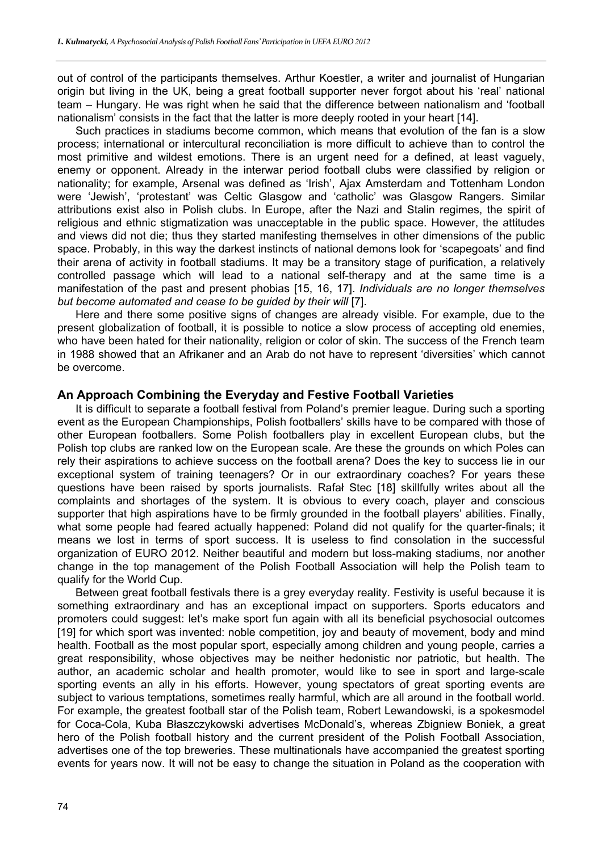out of control of the participants themselves. Arthur Koestler, a writer and journalist of Hungarian origin but living in the UK, being a great football supporter never forgot about his 'real' national team – Hungary. He was right when he said that the difference between nationalism and 'football nationalism' consists in the fact that the latter is more deeply rooted in your heart [14].

Such practices in stadiums become common, which means that evolution of the fan is a slow process; international or intercultural reconciliation is more difficult to achieve than to control the most primitive and wildest emotions. There is an urgent need for a defined, at least vaguely, enemy or opponent. Already in the interwar period football clubs were classified by religion or nationality; for example, Arsenal was defined as 'Irish', Ajax Amsterdam and Tottenham London were 'Jewish', 'protestant' was Celtic Glasgow and 'catholic' was Glasgow Rangers. Similar attributions exist also in Polish clubs. In Europe, after the Nazi and Stalin regimes, the spirit of religious and ethnic stigmatization was unacceptable in the public space. However, the attitudes and views did not die; thus they started manifesting themselves in other dimensions of the public space. Probably, in this way the darkest instincts of national demons look for 'scapegoats' and find their arena of activity in football stadiums. It may be a transitory stage of purification, a relatively controlled passage which will lead to a national self-therapy and at the same time is a manifestation of the past and present phobias [15, 16, 17]. *Individuals are no longer themselves but become automated and cease to be guided by their will* [7].

Here and there some positive signs of changes are already visible. For example, due to the present globalization of football, it is possible to notice a slow process of accepting old enemies, who have been hated for their nationality, religion or color of skin. The success of the French team in 1988 showed that an Afrikaner and an Arab do not have to represent 'diversities' which cannot be overcome.

#### **An Approach Combining the Everyday and Festive Football Varieties**

It is difficult to separate a football festival from Poland's premier league. During such a sporting event as the European Championships, Polish footballers' skills have to be compared with those of other European footballers. Some Polish footballers play in excellent European clubs, but the Polish top clubs are ranked low on the European scale. Are these the grounds on which Poles can rely their aspirations to achieve success on the football arena? Does the key to success lie in our exceptional system of training teenagers? Or in our extraordinary coaches? For years these questions have been raised by sports journalists. Rafał Stec [18] skillfully writes about all the complaints and shortages of the system. It is obvious to every coach, player and conscious supporter that high aspirations have to be firmly grounded in the football players' abilities. Finally, what some people had feared actually happened: Poland did not qualify for the quarter-finals; it means we lost in terms of sport success. It is useless to find consolation in the successful organization of EURO 2012. Neither beautiful and modern but loss-making stadiums, nor another change in the top management of the Polish Football Association will help the Polish team to qualify for the World Cup.

Between great football festivals there is a grey everyday reality. Festivity is useful because it is something extraordinary and has an exceptional impact on supporters. Sports educators and promoters could suggest: let's make sport fun again with all its beneficial psychosocial outcomes [19] for which sport was invented: noble competition, joy and beauty of movement, body and mind health. Football as the most popular sport, especially among children and young people, carries a great responsibility, whose objectives may be neither hedonistic nor patriotic, but health. The author, an academic scholar and health promoter, would like to see in sport and large-scale sporting events an ally in his efforts. However, young spectators of great sporting events are subject to various temptations, sometimes really harmful, which are all around in the football world. For example, the greatest football star of the Polish team, Robert Lewandowski, is a spokesmodel for Coca-Cola, Kuba Błaszczykowski advertises McDonald's, whereas Zbigniew Boniek, a great hero of the Polish football history and the current president of the Polish Football Association, advertises one of the top breweries. These multinationals have accompanied the greatest sporting events for years now. It will not be easy to change the situation in Poland as the cooperation with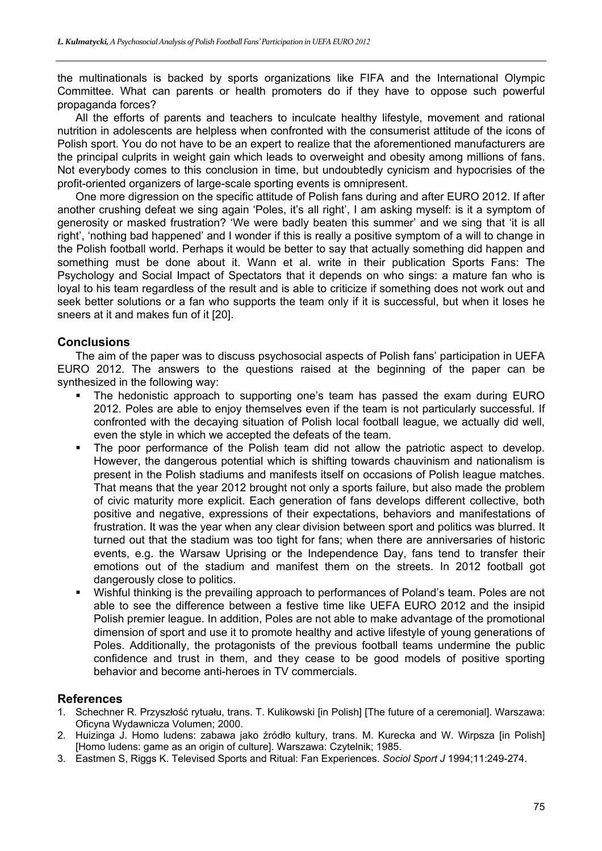the multinationals is backed by sports organizations like FIFA and the International Olympic Committee. What can parents or health promoters do if they have to oppose such powerful propaganda forces?

All the efforts of parents and teachers to inculcate healthy lifestyle, movement and rational nutrition in adolescents are helpless when confronted with the consumerist attitude of the icons of Polish sport. You do not have to be an expert to realize that the aforementioned manufacturers are the principal culprits in weight gain which leads to overweight and obesity among millions of fans. Not everybody comes to this conclusion in time, but undoubtedly cynicism and hypocrisies of the profit-oriented organizers of large-scale sporting events is omnipresent.

One more digression on the specific attitude of Polish fans during and after EURO 2012. If after another crushing defeat we sing again 'Poles, it's all right', I am asking myself: is it a symptom of generosity or masked frustration? 'We were badly beaten this summer' and we sing that 'it is all right', 'nothing bad happened' and I wonder if this is really a positive symptom of a will to change in the Polish football world. Perhaps it would be better to say that actually something did happen and something must be done about it. Wann et al. write in their publication Sports Fans: The Psychology and Social Impact of Spectators that it depends on who sings: a mature fan who is loyal to his team regardless of the result and is able to criticize if something does not work out and seek better solutions or a fan who supports the team only if it is successful, but when it loses he sneers at it and makes fun of it [20].

### **Conclusions**

The aim of the paper was to discuss psychosocial aspects of Polish fans' participation in UEFA EURO 2012. The answers to the questions raised at the beginning of the paper can be synthesized in the following way:

- The hedonistic approach to supporting one's team has passed the exam during EURO 2012. Poles are able to enjoy themselves even if the team is not particularly successful. If confronted with the decaying situation of Polish local football league, we actually did well, even the style in which we accepted the defeats of the team.
- The poor performance of the Polish team did not allow the patriotic aspect to develop. However, the dangerous potential which is shifting towards chauvinism and nationalism is present in the Polish stadiums and manifests itself on occasions of Polish league matches. That means that the year 2012 brought not only a sports failure, but also made the problem of civic maturity more explicit. Each generation of fans develops different collective, both positive and negative, expressions of their expectations, behaviors and manifestations of frustration. It was the year when any clear division between sport and politics was blurred. It turned out that the stadium was too tight for fans; when there are anniversaries of historic events, e.g. the Warsaw Uprising or the Independence Day, fans tend to transfer their emotions out of the stadium and manifest them on the streets. In 2012 football got dangerously close to politics.
- Wishful thinking is the prevailing approach to performances of Poland's team. Poles are not able to see the difference between a festive time like UEFA EURO 2012 and the insipid Polish premier league. In addition, Poles are not able to make advantage of the promotional dimension of sport and use it to promote healthy and active lifestyle of young generations of Poles. Additionally, the protagonists of the previous football teams undermine the public confidence and trust in them, and they cease to be good models of positive sporting behavior and become anti-heroes in TV commercials.

#### **References**

- 1. Schechner R. Przyszłość rytuału, trans. T. Kulikowski [in Polish] [The future of a ceremonial]. Warszawa: Oficyna Wydawnicza Volumen; 2000.
- 2. Huizinga J. Homo ludens: zabawa jako źródło kultury, trans. M. Kurecka and W. Wirpsza [in Polish] [Homo ludens: game as an origin of culture]. Warszawa: Czytelnik; 1985.
- 3. Eastmen S, Riggs K. Televised Sports and Ritual: Fan Experiences. *Sociol Sport J* 1994;11:249-274.